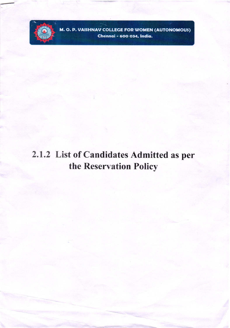

M. O. P. VAISHNAV COLLEGE FOR WOMEN (AUTONOMOUS) Chennai - 600 034, India.

## 2.1.2 List of Candidates Admitted as per the Reservation Policy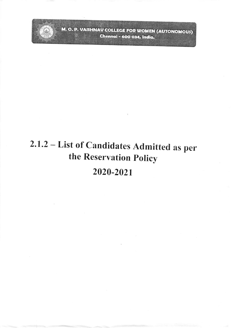

## 2.1.2 - List of Candidates Admitted as per the Reservation policy 2020-2021